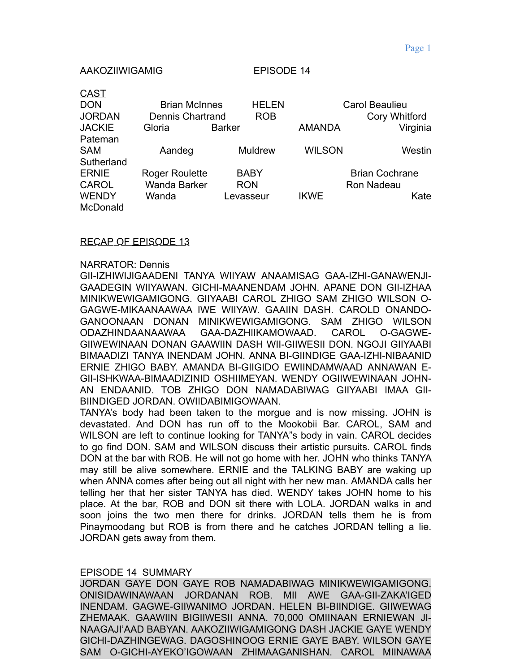### AAKOZIIWIGAMIG EPISODE 14

 $\sim$   $\sim$ 

| <u>CAST</u>   |                         |                |              |                |                       |  |
|---------------|-------------------------|----------------|--------------|----------------|-----------------------|--|
| <b>DON</b>    | <b>Brian McInnes</b>    |                | <b>HELEN</b> | Carol Beaulieu |                       |  |
| <b>JORDAN</b> | <b>Dennis Chartrand</b> |                | <b>ROB</b>   |                | Cory Whitford         |  |
| <b>JACKIE</b> | Gloria                  | <b>Barker</b>  |              | <b>AMANDA</b>  | Virginia              |  |
| Pateman       |                         |                |              |                |                       |  |
| <b>SAM</b>    | Aandeg                  | <b>Muldrew</b> |              | <b>WILSON</b>  | Westin                |  |
| Sutherland    |                         |                |              |                |                       |  |
| <b>ERNIE</b>  | <b>Roger Roulette</b>   | <b>BABY</b>    |              |                | <b>Brian Cochrane</b> |  |
| <b>CAROL</b>  | <b>Wanda Barker</b>     | <b>RON</b>     |              |                | Ron Nadeau            |  |
| <b>WENDY</b>  | Wanda                   |                | Levasseur    | <b>IKWE</b>    | Kate                  |  |
| McDonald      |                         |                |              |                |                       |  |

# RECAP OF EPISODE 13

#### NARRATOR: Dennis

GII-IZHIWIJIGAADENI TANYA WIIYAW ANAAMISAG GAA-IZHI-GANAWENJI-GAADEGIN WIIYAWAN. GICHI-MAANENDAM JOHN. APANE DON GII-IZHAA MINIKWEWIGAMIGONG. GIIYAABI CAROL ZHIGO SAM ZHIGO WILSON O-GAGWE-MIKAANAAWAA IWE WIIYAW. GAAIIN DASH. CAROLD ONANDO-GANOONAAN DONAN MINIKWEWIGAMIGONG. SAM ZHIGO WILSON ODAZHINDAANAAWAA GAA-DAZHIIKAMOWAAD. CAROL O-GAGWE-GIIWEWINAAN DONAN GAAWIIN DASH WII-GIIWESII DON. NGOJI GIIYAABI BIMAADIZI TANYA INENDAM JOHN. ANNA BI-GIINDIGE GAA-IZHI-NIBAANID ERNIE ZHIGO BABY. AMANDA BI-GIIGIDO EWIINDAMWAAD ANNAWAN E-GII-ISHKWAA-BIMAADIZINID OSHIIMEYAN. WENDY OGIIWEWINAAN JOHN-AN ENDAANID. TOB ZHIGO DON NAMADABIWAG GIIYAABI IMAA GII-BIINDIGED JORDAN. OWIIDABIMIGOWAAN.

TANYA's body had been taken to the morgue and is now missing. JOHN is devastated. And DON has run off to the Mookobii Bar. CAROL, SAM and WILSON are left to continue looking for TANYA"s body in vain. CAROL decides to go find DON. SAM and WILSON discuss their artistic pursuits. CAROL finds DON at the bar with ROB. He will not go home with her. JOHN who thinks TANYA may still be alive somewhere. ERNIE and the TALKING BABY are waking up when ANNA comes after being out all night with her new man. AMANDA calls her telling her that her sister TANYA has died. WENDY takes JOHN home to his place. At the bar, ROB and DON sit there with LOLA. JORDAN walks in and soon joins the two men there for drinks. JORDAN tells them he is from Pinaymoodang but ROB is from there and he catches JORDAN telling a lie. JORDAN gets away from them.

#### EPISODE 14 SUMMARY

JORDAN GAYE DON GAYE ROB NAMADABIWAG MINIKWEWIGAMIGONG. ONISIDAWINAWAAN JORDANAN ROB. MII AWE GAA-GII-ZAKA'IGED INENDAM. GAGWE-GIIWANIMO JORDAN. HELEN BI-BIINDIGE. GIIWEWAG ZHEMAAK. GAAWIIN BIGIIWESII ANNA. 70,000 OMIINAAN ERNIEWAN JI-NAAGAJI'AAD BABYAN. AAKOZIIWIGAMIGONG DASH JACKIE GAYE WENDY GICHI-DAZHINGEWAG. DAGOSHINOOG ERNIE GAYE BABY. WILSON GAYE SAM O-GICHI-AYEKO'IGOWAAN ZHIMAAGANISHAN. CAROL MIINAWAA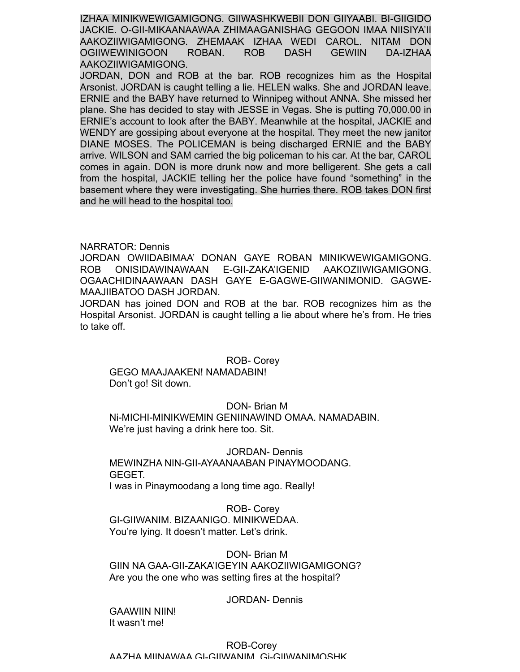IZHAA MINIKWEWIGAMIGONG. GIIWASHKWEBII DON GIIYAABI. BI-GIIGIDO JACKIE. O-GII-MIKAANAAWAA ZHIMAAGANISHAG GEGOON IMAA NIISIYA'II AAKOZIIWIGAMIGONG. ZHEMAAK IZHAA WEDI CAROL. NITAM DON OGIIWEWINIGOON ROBAN. ROB DASH GEWIIN DA-IZHAA AAKOZIIWIGAMIGONG.

JORDAN, DON and ROB at the bar. ROB recognizes him as the Hospital Arsonist. JORDAN is caught telling a lie. HELEN walks. She and JORDAN leave. ERNIE and the BABY have returned to Winnipeg without ANNA. She missed her plane. She has decided to stay with JESSE in Vegas. She is putting 70,000.00 in ERNIE's account to look after the BABY. Meanwhile at the hospital, JACKIE and WENDY are gossiping about everyone at the hospital. They meet the new janitor DIANE MOSES. The POLICEMAN is being discharged ERNIE and the BABY arrive. WILSON and SAM carried the big policeman to his car. At the bar, CAROL comes in again. DON is more drunk now and more belligerent. She gets a call from the hospital, JACKIE telling her the police have found "something" in the basement where they were investigating. She hurries there. ROB takes DON first and he will head to the hospital too.

# NARRATOR: Dennis

JORDAN OWIIDABIMAA' DONAN GAYE ROBAN MINIKWEWIGAMIGONG. ROB ONISIDAWINAWAAN E-GII-ZAKA'IGENID AAKOZIIWIGAMIGONG. OGAACHIDINAAWAAN DASH GAYE E-GAGWE-GIIWANIMONID. GAGWE-MAAJIIBATOO DASH JORDAN.

JORDAN has joined DON and ROB at the bar. ROB recognizes him as the Hospital Arsonist. JORDAN is caught telling a lie about where he's from. He tries to take off.

#### ROB- Corey

GEGO MAAJAAKEN! NAMADABIN! Don't go! Sit down.

#### DON- Brian M

Ni-MICHI-MINIKWEMIN GENIINAWIND OMAA. NAMADABIN. We're just having a drink here too. Sit.

JORDAN- Dennis MEWINZHA NIN-GII-AYAANAABAN PINAYMOODANG. GEGET. I was in Pinaymoodang a long time ago. Really!

ROB- Corey GI-GIIWANIM. BIZAANIGO. MINIKWEDAA. You're lying. It doesn't matter. Let's drink.

DON- Brian M GIIN NA GAA-GII-ZAKA'IGEYIN AAKOZIIWIGAMIGONG? Are you the one who was setting fires at the hospital?

#### JORDAN- Dennis

GAAWIIN NIIN! It wasn't me!

### ROB-Corey AAZHA MIINAWAA GI-GIIWANIM. Gi-GIIWANIMOSHK.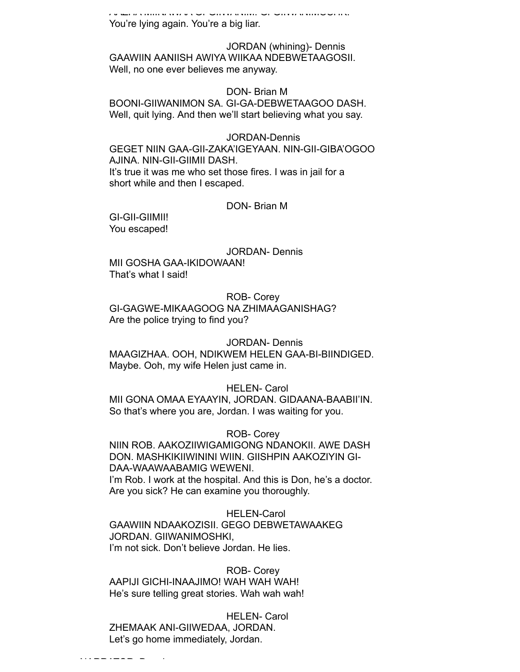AAZHA MIINAWAA GI-GIIWANIM. Gi-GIIWANIMOSHK. You're lying again. You're a big liar.

JORDAN (whining)- Dennis GAAWIIN AANIISH AWIYA WIIKAA NDEBWETAAGOSII. Well, no one ever believes me anyway.

#### DON- Brian M

BOONI-GIIWANIMON SA. GI-GA-DEBWETAAGOO DASH. Well, quit lying. And then we'll start believing what you say.

#### JORDAN-Dennis

GEGET NIIN GAA-GII-ZAKA'IGEYAAN. NIN-GII-GIBA'OGOO AJINA. NIN-GII-GIIMII DASH. It's true it was me who set those fires. I was in jail for a short while and then I escaped.

#### DON- Brian M

GI-GII-GIIMII! You escaped!

JORDAN- Dennis MII GOSHA GAA-IKIDOWAAN! That's what I said!

ROB- Corey GI-GAGWE-MIKAAGOOG NA ZHIMAAGANISHAG? Are the police trying to find you?

#### JORDAN- Dennis

MAAGIZHAA. OOH, NDIKWEM HELEN GAA-BI-BIINDIGED. Maybe. Ooh, my wife Helen just came in.

#### HELEN- Carol

MII GONA OMAA EYAAYIN, JORDAN. GIDAANA-BAABII'IN. So that's where you are, Jordan. I was waiting for you.

### ROB- Corey

NIIN ROB. AAKOZIIWIGAMIGONG NDANOKII. AWE DASH DON. MASHKIKIIWININI WIIN. GIISHPIN AAKOZIYIN GI-DAA-WAAWAABAMIG WEWENI. I'm Rob. I work at the hospital. And this is Don, he's a doctor.

Are you sick? He can examine you thoroughly.

HELEN-Carol

GAAWIIN NDAAKOZISII. GEGO DEBWETAWAAKEG JORDAN. GIIWANIMOSHKI,

I'm not sick. Don't believe Jordan. He lies.

### ROB- Corey

AAPIJI GICHI-INAAJIMO! WAH WAH WAH! He's sure telling great stories. Wah wah wah!

#### HELEN- Carol

ZHEMAAK ANI-GIIWEDAA, JORDAN. Let's go home immediately, Jordan.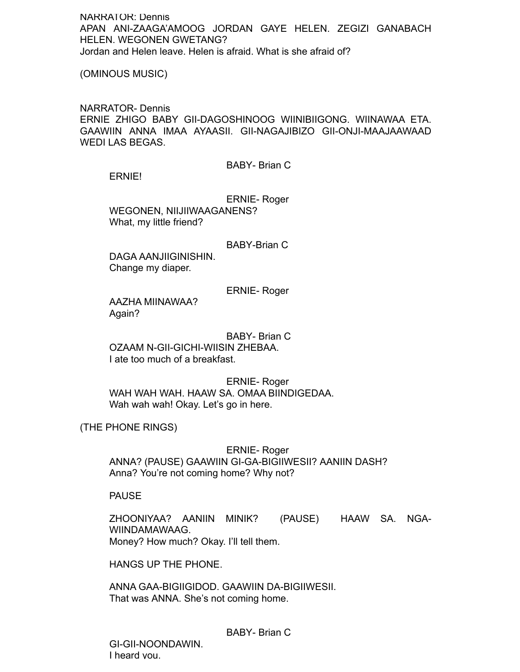NARRATOR: Dennis APAN ANI-ZAAGA'AMOOG JORDAN GAYE HELEN. ZEGIZI GANABACH HELEN. WEGONEN GWETANG? Jordan and Helen leave. Helen is afraid. What is she afraid of?

(OMINOUS MUSIC)

NARRATOR- Dennis ERNIE ZHIGO BABY GII-DAGOSHINOOG WIINIBIIGONG. WIINAWAA ETA. GAAWIIN ANNA IMAA AYAASII. GII-NAGAJIBIZO GII-ONJI-MAAJAAWAAD WEDI LAS BEGAS.

BABY- Brian C

ERNIE!

ERNIE- Roger WEGONEN, NIIJIIWAAGANENS? What, my little friend?

BABY-Brian C

DAGA AANJIIGINISHIN. Change my diaper.

ERNIE- Roger

AAZHA MIINAWAA? Again?

BABY- Brian C OZAAM N-GII-GICHI-WIISIN ZHEBAA. I ate too much of a breakfast.

ERNIE- Roger WAH WAH WAH. HAAW SA. OMAA BIINDIGEDAA. Wah wah wah! Okay. Let's go in here.

(THE PHONE RINGS)

ERNIE- Roger ANNA? (PAUSE) GAAWIIN GI-GA-BIGIIWESII? AANIIN DASH? Anna? You're not coming home? Why not?

PAUSE

ZHOONIYAA? AANIIN MINIK? (PAUSE) HAAW SA. NGA-WIINDAMAWAAG. Money? How much? Okay. I'll tell them.

HANGS UP THE PHONE.

ANNA GAA-BIGIIGIDOD. GAAWIIN DA-BIGIIWESII. That was ANNA. She's not coming home.

BABY- Brian C

GI-GII-NOONDAWIN. I heard you.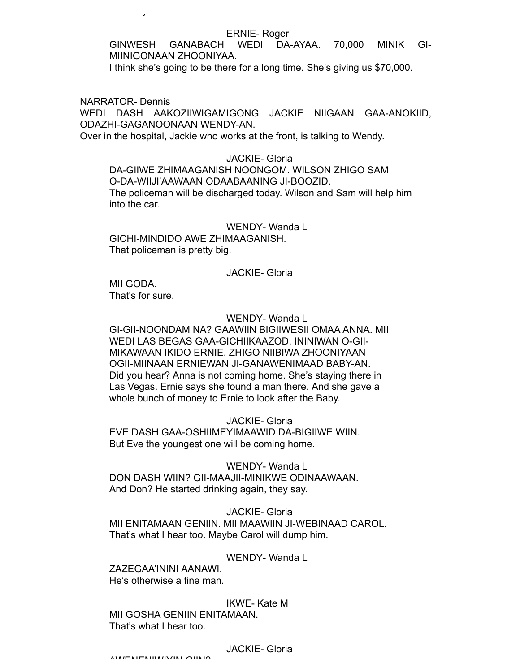#### ERNIE- Roger

GINWESH GANABACH WEDI DA-AYAA. 70,000 MINIK GI-MIINIGONAAN ZHOONIYAA.

I think she's going to be there for a long time. She's giving us \$70,000.

NARRATOR- Dennis

WEDI DASH AAKOZIIWIGAMIGONG JACKIE NIIGAAN GAA-ANOKIID, ODAZHI-GAGANOONAAN WENDY-AN.

Over in the hospital, Jackie who works at the front, is talking to Wendy.

JACKIE- Gloria

DA-GIIWE ZHIMAAGANISH NOONGOM. WILSON ZHIGO SAM O-DA-WIIJI'AAWAAN ODAABAANING JI-BOOZID. The policeman will be discharged today. Wilson and Sam will help him into the car.

WENDY-Wanda L GICHI-MINDIDO AWE ZHIMAAGANISH. That policeman is pretty big.

## JACKIE- Gloria

MII GODA. That's for sure.

### WENDY- Wanda L

GI-GII-NOONDAM NA? GAAWIIN BIGIIWESII OMAA ANNA. MII WEDI LAS BEGAS GAA-GICHIIKAAZOD. ININIWAN O-GII-MIKAWAAN IKIDO ERNIE. ZHIGO NIIBIWA ZHOONIYAAN OGII-MIINAAN ERNIEWAN JI-GANAWENIMAAD BABY-AN. Did you hear? Anna is not coming home. She's staying there in Las Vegas. Ernie says she found a man there. And she gave a whole bunch of money to Ernie to look after the Baby.

JACKIE- Gloria EVE DASH GAA-OSHIIMEYIMAAWID DA-BIGIIWE WIIN. But Eve the youngest one will be coming home.

WENDY-Wanda L DON DASH WIIN? GII-MAAJII-MINIKWE ODINAAWAAN. And Don? He started drinking again, they say.

JACKIE- Gloria

MII ENITAMAAN GENIIN. MII MAAWIIN JI-WEBINAAD CAROL. That's what I hear too. Maybe Carol will dump him.

## WENDY- Wanda L

ZAZEGAA'ININI AANAWI. He's otherwise a fine man.

IKWE- Kate M MII GOSHA GENIIN ENITAMAAN.

That's what I hear too.

JACKIE- Gloria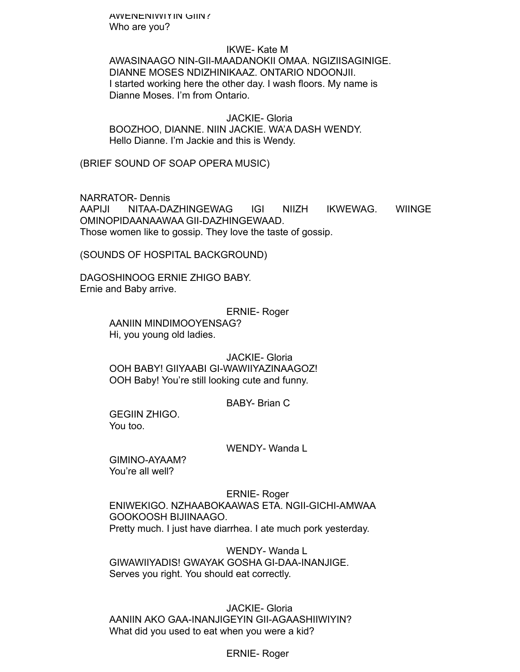AWENENIWIYIN GIIN? Who are you?

IKWE- Kate M AWASINAAGO NIN-GII-MAADANOKII OMAA. NGIZIISAGINIGE. DIANNE MOSES NDIZHINIKAAZ. ONTARIO NDOONJII. I started working here the other day. I wash floors. My name is Dianne Moses. I'm from Ontario.

JACKIE- Gloria BOOZHOO, DIANNE. NIIN JACKIE. WA'A DASH WENDY. Hello Dianne. I'm Jackie and this is Wendy.

(BRIEF SOUND OF SOAP OPERA MUSIC)

NARRATOR- Dennis AAPIJI NITAA-DAZHINGEWAG IGI NIIZH IKWEWAG. WIINGE OMINOPIDAANAAWAA GII-DAZHINGEWAAD. Those women like to gossip. They love the taste of gossip.

(SOUNDS OF HOSPITAL BACKGROUND)

DAGOSHINOOG ERNIE ZHIGO BABY. Ernie and Baby arrive.

> ERNIE- Roger AANIIN MINDIMOOYENSAG? Hi, you young old ladies.

JACKIE- Gloria OOH BABY! GIIYAABI GI-WAWIIYAZINAAGOZ! OOH Baby! You're still looking cute and funny.

BABY- Brian C

GEGIIN ZHIGO. You too.

WENDY- Wanda L

GIMINO-AYAAM? You're all well?

ERNIE- Roger ENIWEKIGO. NZHAABOKAAWAS ETA. NGII-GICHI-AMWAA GOOKOOSH BIJIINAAGO. Pretty much. I just have diarrhea. I ate much pork yesterday.

WENDY- Wanda L GIWAWIIYADIS! GWAYAK GOSHA GI-DAA-INANJIGE. Serves you right. You should eat correctly.

JACKIE- Gloria AANIIN AKO GAA-INANJIGEYIN GII-AGAASHIIWIYIN? What did you used to eat when you were a kid?

ERNIE- Roger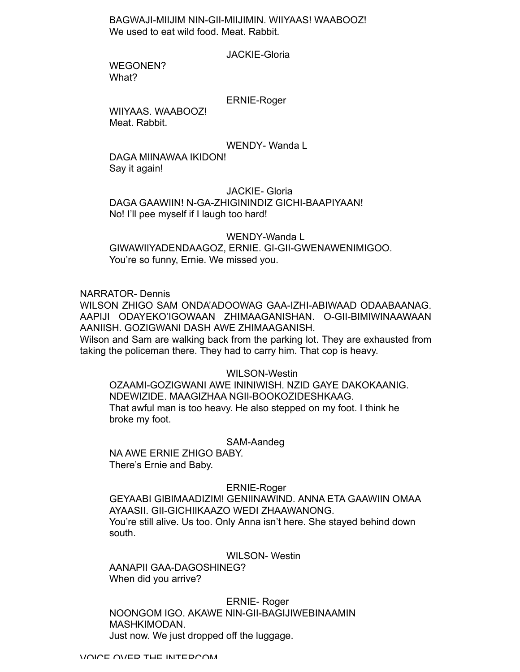BAGWAJI-MIIJIM NIN-GII-MIIJIMIN. WIIYAAS! WAABOOZ! We used to eat wild food. Meat. Rabbit.

JACKIE-Gloria

ERNIE- Roger

WEGONEN? What?

ERNIE-Roger

WIIYAAS. WAABOOZ! Meat. Rabbit.

WENDY- Wanda L

DAGA MIINAWAA IKIDON! Say it again!

JACKIE- Gloria

DAGA GAAWIIN! N-GA-ZHIGININDIZ GICHI-BAAPIYAAN! No! I'll pee myself if I laugh too hard!

WENDY-Wanda L GIWAWIIYADENDAAGOZ, ERNIE. GI-GII-GWENAWENIMIGOO. You're so funny, Ernie. We missed you.

NARRATOR- Dennis

WILSON ZHIGO SAM ONDA'ADOOWAG GAA-IZHI-ABIWAAD ODAABAANAG. AAPIJI ODAYEKO'IGOWAAN ZHIMAAGANISHAN. O-GII-BIMIWINAAWAAN AANIISH. GOZIGWANI DASH AWE ZHIMAAGANISH.

Wilson and Sam are walking back from the parking lot. They are exhausted from taking the policeman there. They had to carry him. That cop is heavy.

WILSON-Westin OZAAMI-GOZIGWANI AWE ININIWISH. NZID GAYE DAKOKAANIG. NDEWIZIDE. MAAGIZHAA NGII-BOOKOZIDESHKAAG. That awful man is too heavy. He also stepped on my foot. I think he broke my foot.

SAM-Aandeg

NA AWE ERNIE ZHIGO BABY. There's Ernie and Baby.

ERNIE-Roger

GEYAABI GIBIMAADIZIM! GENIINAWIND. ANNA ETA GAAWIIN OMAA AYAASII. GII-GICHIIKAAZO WEDI ZHAAWANONG. You're still alive. Us too. Only Anna isn't here. She stayed behind down south.

WILSON- Westin

AANAPII GAA-DAGOSHINEG? When did you arrive?

ERNIE- Roger NOONGOM IGO. AKAWE NIN-GII-BAGIJIWEBINAAMIN MASHKIMODAN. Just now. We just dropped off the luggage.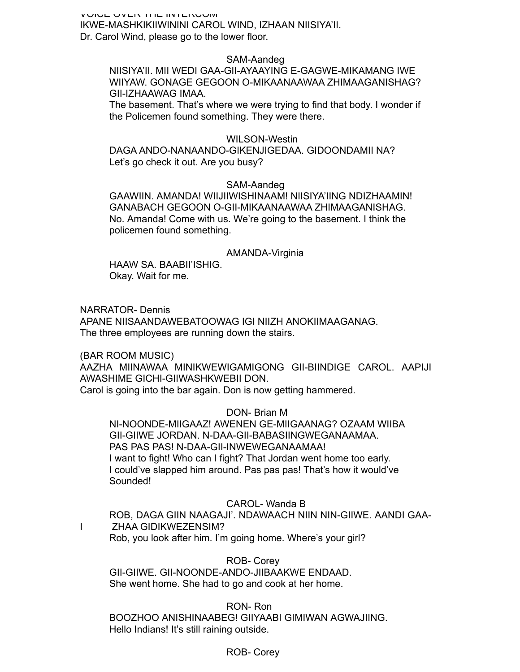VUIUE UVER THE INTERUUM IKWE-MASHKIKIIWININI CAROL WIND, IZHAAN NIISIYA'II. Dr. Carol Wind, please go to the lower floor.

## SAM-Aandeg

NIISIYA'II. MII WEDI GAA-GII-AYAAYING E-GAGWE-MIKAMANG IWE WIIYAW. GONAGE GEGOON O-MIKAANAAWAA ZHIMAAGANISHAG? GII-IZHAAWAG IMAA.

The basement. That's where we were trying to find that body. I wonder if the Policemen found something. They were there.

### WILSON-Westin

DAGA ANDO-NANAANDO-GIKENJIGEDAA. GIDOONDAMII NA? Let's go check it out. Are you busy?

# SAM-Aandeg

GAAWIIN. AMANDA! WIIJIIWISHINAAM! NIISIYA'IING NDIZHAAMIN! GANABACH GEGOON O-GII-MIKAANAAWAA ZHIMAAGANISHAG. No. Amanda! Come with us. We're going to the basement. I think the policemen found something.

#### AMANDA-Virginia

HAAW SA. BAABII'ISHIG. Okay. Wait for me.

NARRATOR- Dennis APANE NIISAANDAWEBATOOWAG IGI NIIZH ANOKIIMAAGANAG. The three employees are running down the stairs.

(BAR ROOM MUSIC)

AAZHA MIINAWAA MINIKWEWIGAMIGONG GII-BIINDIGE CAROL. AAPIJI AWASHIME GICHI-GIIWASHKWEBII DON.

Carol is going into the bar again. Don is now getting hammered.

DON- Brian M

NI-NOONDE-MIIGAAZ! AWENEN GE-MIIGAANAG? OZAAM WIIBA GII-GIIWE JORDAN. N-DAA-GII-BABASIINGWEGANAAMAA. PAS PAS PAS! N-DAA-GII-INWEWEGANAAMAA! I want to fight! Who can I fight? That Jordan went home too early. I could've slapped him around. Pas pas pas! That's how it would've Sounded!

## CAROL- Wanda B

ROB, DAGA GIIN NAAGAJI'. NDAWAACH NIIN NIN-GIIWE. AANDI GAA-I ZHAA GIDIKWEZENSIM? Rob, you look after him. I'm going home. Where's your girl?

ROB- Corey GII-GIIWE. GII-NOONDE-ANDO-JIIBAAKWE ENDAAD.

She went home. She had to go and cook at her home.

RON- Ron

BOOZHOO ANISHINAABEG! GIIYAABI GIMIWAN AGWAJIING. Hello Indians! It's still raining outside.

# ROB- Corey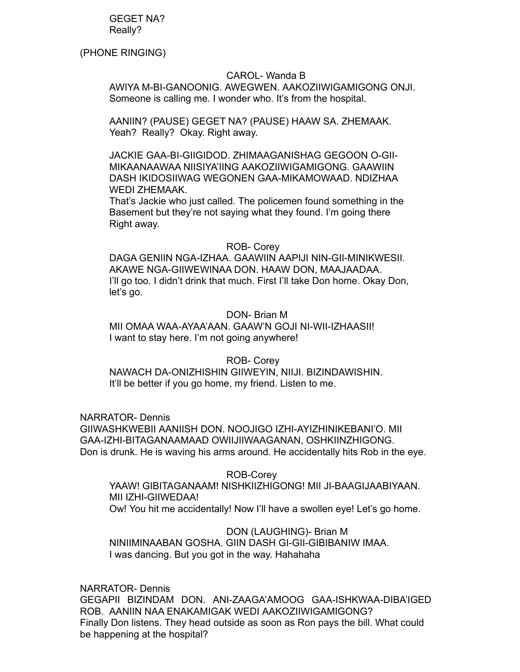GEGET NA? Really?

(PHONE RINGING)

# CAROL- Wanda B

AWIYA M-BI-GANOONIG. AWEGWEN. AAKOZIIWIGAMIGONG ONJI. Someone is calling me. I wonder who. It's from the hospital.

AANIIN? (PAUSE) GEGET NA? (PAUSE) HAAW SA. ZHEMAAK. Yeah? Really? Okay. Right away.

JACKIE GAA-BI-GIIGIDOD. ZHIMAAGANISHAG GEGOON O-GII-MIKAANAAWAA NIISIYA'IING AAKOZIIWIGAMIGONG. GAAWIIN DASH IKIDOSIIWAG WEGONEN GAA-MIKAMOWAAD. NDIZHAA WEDI ZHEMAAK.

That's Jackie who just called. The policemen found something in the Basement but they're not saying what they found. I'm going there Right away.

# ROB- Corey

DAGA GENIIN NGA-IZHAA. GAAWIIN AAPIJI NIN-GII-MINIKWESII. AKAWE NGA-GIIWEWINAA DON. HAAW DON, MAAJAADAA. I'll go too. I didn't drink that much. First I'll take Don home. Okay Don, let's go.

# DON- Brian M

MII OMAA WAA-AYAA'AAN. GAAW'N GOJI NI-WII-IZHAASII! I want to stay here. I'm not going anywhere!

# ROB- Corey

NAWACH DA-ONIZHISHIN GIIWEYIN, NIIJI. BIZINDAWISHIN. It'll be better if you go home, my friend. Listen to me.

NARRATOR- Dennis

GIIWASHKWEBII AANIISH DON. NOOJIGO IZHI-AYIZHINIKEBANI'O. MII GAA-IZHI-BITAGANAAMAAD OWIIJIIWAAGANAN, OSHKIINZHIGONG. Don is drunk. He is waving his arms around. He accidentally hits Rob in the eye.

# ROB-Corey

YAAW! GIBITAGANAAM! NISHKIIZHIGONG! MII JI-BAAGIJAABIYAAN. MII IZHI-GIIWEDAA! Ow! You hit me accidentally! Now I'll have a swollen eye! Let's go home.

# DON (LAUGHING)- Brian M

NINIIMINAABAN GOSHA. GIIN DASH GI-GII-GIBIBANIW IMAA. I was dancing. But you got in the way. Hahahaha

NARRATOR- Dennis GEGAPII BIZINDAM DON. ANI-ZAAGA'AMOOG GAA-ISHKWAA-DIBA'IGED ROB. AANIIN NAA ENAKAMIGAK WEDI AAKOZIIWIGAMIGONG? Finally Don listens. They head outside as soon as Ron pays the bill. What could be happening at the hospital?